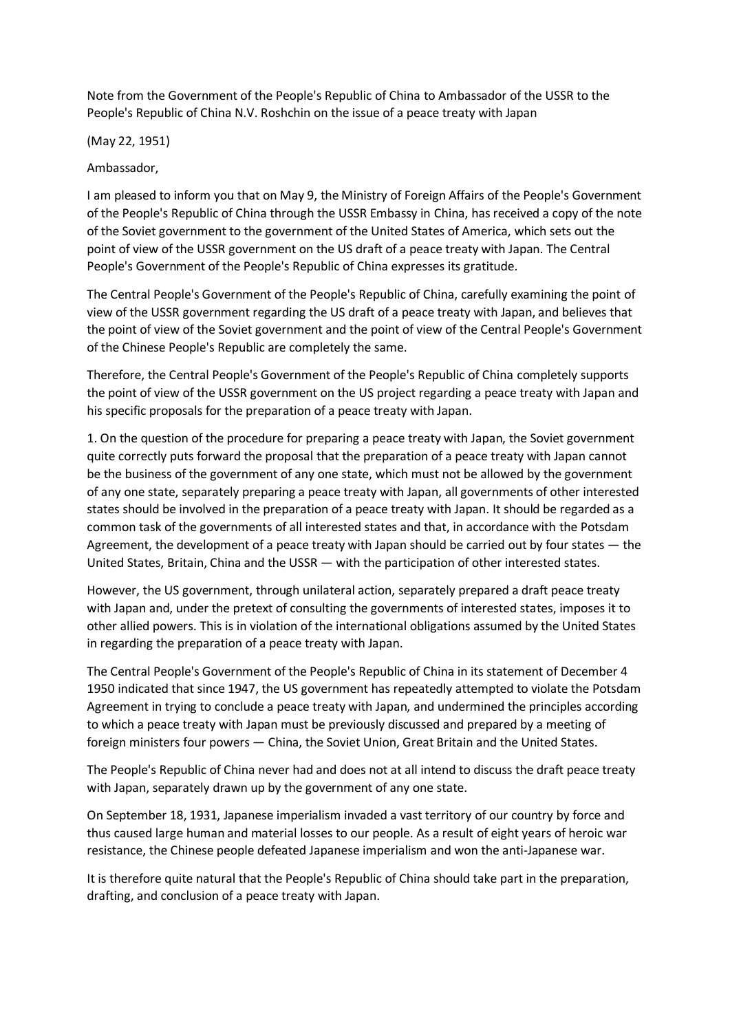Note from the Government of the People's Republic of China to Ambassador of the USSR to the People's Republic of China N.V. Roshchin on the issue of a peace treaty with Japan

(May 22, 1951)

Ambassador,

I am pleased to inform you that on May 9, the Ministry of Foreign Affairs of the People's Government of the People's Republic of China through the USSR Embassy in China, has received a copy of the note of the Soviet government to the government of the United States of America, which sets out the point of view of the USSR government on the US draft of a peace treaty with Japan. The Central People's Government of the People's Republic of China expresses its gratitude.

The Central People's Government of the People's Republic of China, carefully examining the point of view of the USSR government regarding the US draft of a peace treaty with Japan, and believes that the point of view of the Soviet government and the point of view of the Central People's Government of the Chinese People's Republic are completely the same.

Therefore, the Central People's Government of the People's Republic of China completely supports the point of view of the USSR government on the US project regarding a peace treaty with Japan and his specific proposals for the preparation of a peace treaty with Japan.

1. On the question of the procedure for preparing a peace treaty with Japan, the Soviet government quite correctly puts forward the proposal that the preparation of a peace treaty with Japan cannot be the business of the government of any one state, which must not be allowed by the government of any one state, separately preparing a peace treaty with Japan, all governments of other interested states should be involved in the preparation of a peace treaty with Japan. It should be regarded as a common task of the governments of all interested states and that, in accordance with the Potsdam Agreement, the development of a peace treaty with Japan should be carried out by four states — the United States, Britain, China and the USSR — with the participation of other interested states.

However, the US government, through unilateral action, separately prepared a draft peace treaty with Japan and, under the pretext of consulting the governments of interested states, imposes it to other allied powers. This is in violation of the international obligations assumed by the United States in regarding the preparation of a peace treaty with Japan.

The Central People's Government of the People's Republic of China in its statement of December 4 1950 indicated that since 1947, the US government has repeatedly attempted to violate the Potsdam Agreement in trying to conclude a peace treaty with Japan, and undermined the principles according to which a peace treaty with Japan must be previously discussed and prepared by a meeting of foreign ministers four powers — China, the Soviet Union, Great Britain and the United States.

The People's Republic of China never had and does not at all intend to discuss the draft peace treaty with Japan, separately drawn up by the government of any one state.

On September 18, 1931, Japanese imperialism invaded a vast territory of our country by force and thus caused large human and material losses to our people. As a result of eight years of heroic war resistance, the Chinese people defeated Japanese imperialism and won the anti-Japanese war.

It is therefore quite natural that the People's Republic of China should take part in the preparation, drafting, and conclusion of a peace treaty with Japan.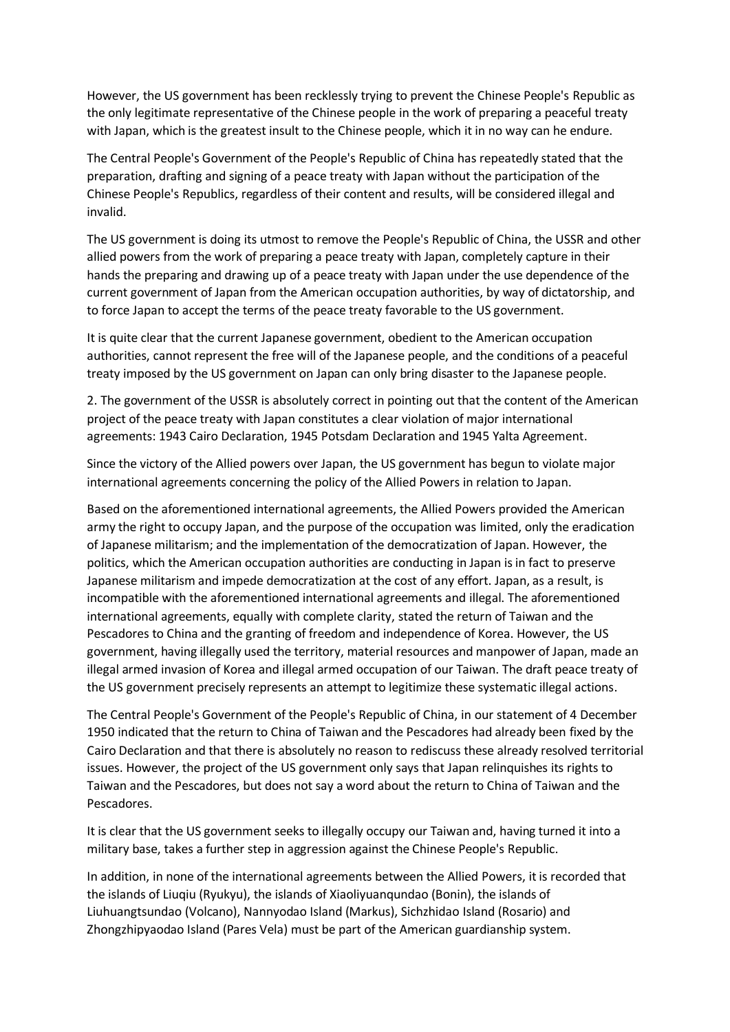However, the US government has been recklessly trying to prevent the Chinese People's Republic as the only legitimate representative of the Chinese people in the work of preparing a peaceful treaty with Japan, which is the greatest insult to the Chinese people, which it in no way can he endure.

The Central People's Government of the People's Republic of China has repeatedly stated that the preparation, drafting and signing of a peace treaty with Japan without the participation of the Chinese People's Republics, regardless of their content and results, will be considered illegal and invalid.

The US government is doing its utmost to remove the People's Republic of China, the USSR and other allied powers from the work of preparing a peace treaty with Japan, completely capture in their hands the preparing and drawing up of a peace treaty with Japan under the use dependence of the current government of Japan from the American occupation authorities, by way of dictatorship, and to force Japan to accept the terms of the peace treaty favorable to the US government.

It is quite clear that the current Japanese government, obedient to the American occupation authorities, cannot represent the free will of the Japanese people, and the conditions of a peaceful treaty imposed by the US government on Japan can only bring disaster to the Japanese people.

2. The government of the USSR is absolutely correct in pointing out that the content of the American project of the peace treaty with Japan constitutes a clear violation of major international agreements: 1943 Cairo Declaration, 1945 Potsdam Declaration and 1945 Yalta Agreement.

Since the victory of the Allied powers over Japan, the US government has begun to violate major international agreements concerning the policy of the Allied Powers in relation to Japan.

Based on the aforementioned international agreements, the Allied Powers provided the American army the right to occupy Japan, and the purpose of the occupation was limited, only the eradication of Japanese militarism; and the implementation of the democratization of Japan. However, the politics, which the American occupation authorities are conducting in Japan is in fact to preserve Japanese militarism and impede democratization at the cost of any effort. Japan, as a result, is incompatible with the aforementioned international agreements and illegal. The aforementioned international agreements, equally with complete clarity, stated the return of Taiwan and the Pescadores to China and the granting of freedom and independence of Korea. However, the US government, having illegally used the territory, material resources and manpower of Japan, made an illegal armed invasion of Korea and illegal armed occupation of our Taiwan. The draft peace treaty of the US government precisely represents an attempt to legitimize these systematic illegal actions.

The Central People's Government of the People's Republic of China, in our statement of 4 December 1950 indicated that the return to China of Taiwan and the Pescadores had already been fixed by the Cairo Declaration and that there is absolutely no reason to rediscuss these already resolved territorial issues. However, the project of the US government only says that Japan relinquishes its rights to Taiwan and the Pescadores, but does not say a word about the return to China of Taiwan and the Pescadores.

It is clear that the US government seeks to illegally occupy our Taiwan and, having turned it into a military base, takes a further step in aggression against the Chinese People's Republic.

In addition, in none of the international agreements between the Allied Powers, it is recorded that the islands of Liuqiu (Ryukyu), the islands of Xiaoliyuanqundao (Bonin), the islands of Liuhuangtsundao (Volcano), Nannyodao Island (Markus), Sichzhidao Island (Rosario) and Zhongzhipyaodao Island (Pares Vela) must be part of the American guardianship system.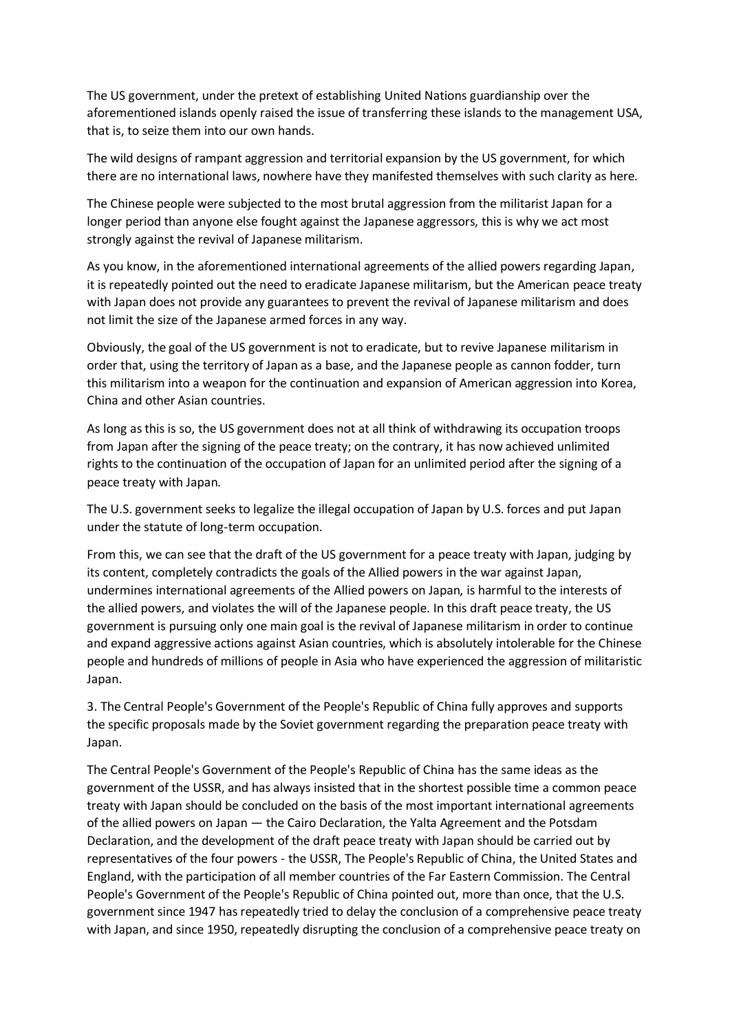The US government, under the pretext of establishing United Nations guardianship over the aforementioned islands openly raised the issue of transferring these islands to the management USA, that is, to seize them into our own hands.

The wild designs of rampant aggression and territorial expansion by the US government, for which there are no international laws, nowhere have they manifested themselves with such clarity as here.

The Chinese people were subjected to the most brutal aggression from the militarist Japan for a longer period than anyone else fought against the Japanese aggressors, this is why we act most strongly against the revival of Japanese militarism.

As you know, in the aforementioned international agreements of the allied powers regarding Japan, it is repeatedly pointed out the need to eradicate Japanese militarism, but the American peace treaty with Japan does not provide any guarantees to prevent the revival of Japanese militarism and does not limit the size of the Japanese armed forces in any way.

Obviously, the goal of the US government is not to eradicate, but to revive Japanese militarism in order that, using the territory of Japan as a base, and the Japanese people as cannon fodder, turn this militarism into a weapon for the continuation and expansion of American aggression into Korea, China and other Asian countries.

As long as this is so, the US government does not at all think of withdrawing its occupation troops from Japan after the signing of the peace treaty; on the contrary, it has now achieved unlimited rights to the continuation of the occupation of Japan for an unlimited period after the signing of a peace treaty with Japan.

The U.S. government seeks to legalize the illegal occupation of Japan by U.S. forces and put Japan under the statute of long-term occupation.

From this, we can see that the draft of the US government for a peace treaty with Japan, judging by its content, completely contradicts the goals of the Allied powers in the war against Japan, undermines international agreements of the Allied powers on Japan, is harmful to the interests of the allied powers, and violates the will of the Japanese people. In this draft peace treaty, the US government is pursuing only one main goal is the revival of Japanese militarism in order to continue and expand aggressive actions against Asian countries, which is absolutely intolerable for the Chinese people and hundreds of millions of people in Asia who have experienced the aggression of militaristic Japan.

3. The Central People's Government of the People's Republic of China fully approves and supports the specific proposals made by the Soviet government regarding the preparation peace treaty with Japan.

The Central People's Government of the People's Republic of China has the same ideas as the government of the USSR, and has always insisted that in the shortest possible time a common peace treaty with Japan should be concluded on the basis of the most important international agreements of the allied powers on Japan — the Cairo Declaration, the Yalta Agreement and the Potsdam Declaration, and the development of the draft peace treaty with Japan should be carried out by representatives of the four powers - the USSR, The People's Republic of China, the United States and England, with the participation of all member countries of the Far Eastern Commission. The Central People's Government of the People's Republic of China pointed out, more than once, that the U.S. government since 1947 has repeatedly tried to delay the conclusion of a comprehensive peace treaty with Japan, and since 1950, repeatedly disrupting the conclusion of a comprehensive peace treaty on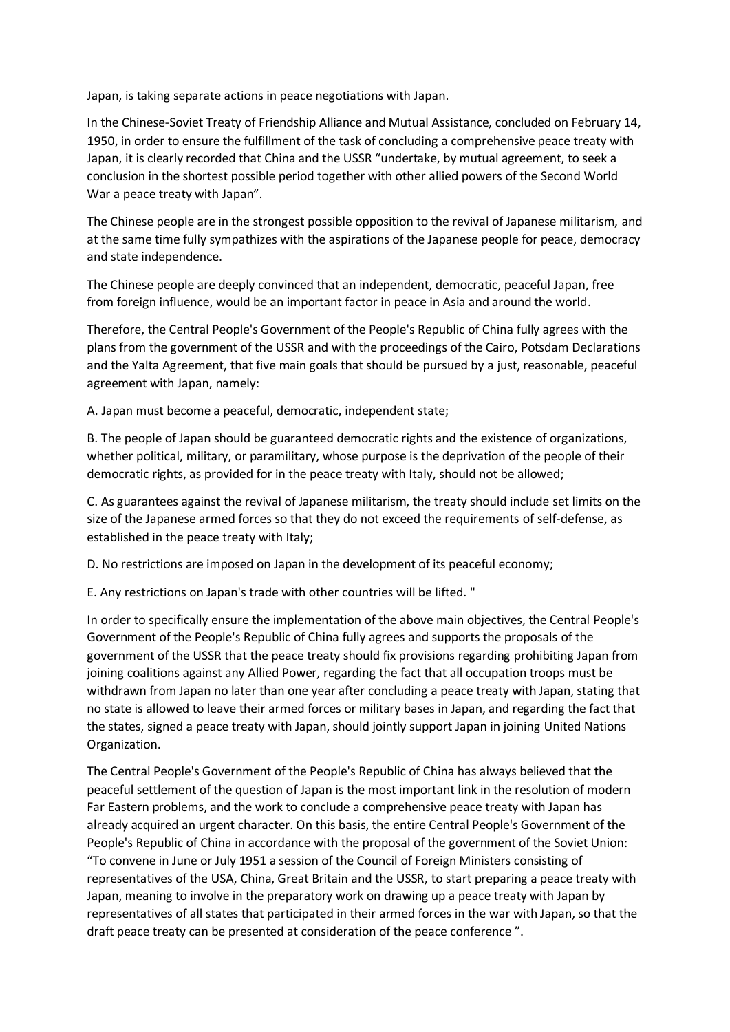Japan, is taking separate actions in peace negotiations with Japan.

In the Chinese-Soviet Treaty of Friendship Alliance and Mutual Assistance, concluded on February 14, 1950, in order to ensure the fulfillment of the task of concluding a comprehensive peace treaty with Japan, it is clearly recorded that China and the USSR "undertake, by mutual agreement, to seek a conclusion in the shortest possible period together with other allied powers of the Second World War a peace treaty with Japan".

The Chinese people are in the strongest possible opposition to the revival of Japanese militarism, and at the same time fully sympathizes with the aspirations of the Japanese people for peace, democracy and state independence.

The Chinese people are deeply convinced that an independent, democratic, peaceful Japan, free from foreign influence, would be an important factor in peace in Asia and around the world.

Therefore, the Central People's Government of the People's Republic of China fully agrees with the plans from the government of the USSR and with the proceedings of the Cairo, Potsdam Declarations and the Yalta Agreement, that five main goals that should be pursued by a just, reasonable, peaceful agreement with Japan, namely:

A. Japan must become a peaceful, democratic, independent state;

B. The people of Japan should be guaranteed democratic rights and the existence of organizations, whether political, military, or paramilitary, whose purpose is the deprivation of the people of their democratic rights, as provided for in the peace treaty with Italy, should not be allowed;

C. As guarantees against the revival of Japanese militarism, the treaty should include set limits on the size of the Japanese armed forces so that they do not exceed the requirements of self-defense, as established in the peace treaty with Italy;

D. No restrictions are imposed on Japan in the development of its peaceful economy;

E. Any restrictions on Japan's trade with other countries will be lifted. "

In order to specifically ensure the implementation of the above main objectives, the Central People's Government of the People's Republic of China fully agrees and supports the proposals of the government of the USSR that the peace treaty should fix provisions regarding prohibiting Japan from joining coalitions against any Allied Power, regarding the fact that all occupation troops must be withdrawn from Japan no later than one year after concluding a peace treaty with Japan, stating that no state is allowed to leave their armed forces or military bases in Japan, and regarding the fact that the states, signed a peace treaty with Japan, should jointly support Japan in joining United Nations Organization.

The Central People's Government of the People's Republic of China has always believed that the peaceful settlement of the question of Japan is the most important link in the resolution of modern Far Eastern problems, and the work to conclude a comprehensive peace treaty with Japan has already acquired an urgent character. On this basis, the entire Central People's Government of the People's Republic of China in accordance with the proposal of the government of the Soviet Union: "To convene in June or July 1951 a session of the Council of Foreign Ministers consisting of representatives of the USA, China, Great Britain and the USSR, to start preparing a peace treaty with Japan, meaning to involve in the preparatory work on drawing up a peace treaty with Japan by representatives of all states that participated in their armed forces in the war with Japan, so that the draft peace treaty can be presented at consideration of the peace conference ".